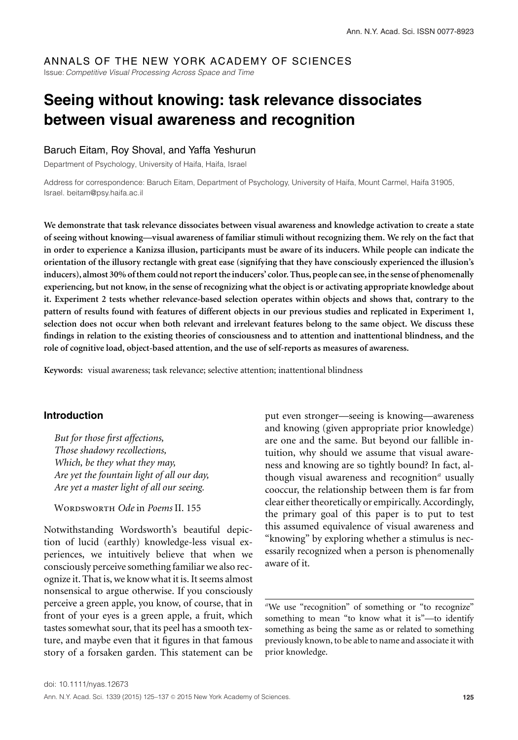# ANNALS OF THE NEW YORK ACADEMY OF SCIENCES

Issue: *Competitive Visual Processing Across Space and Time*

# **Seeing without knowing: task relevance dissociates between visual awareness and recognition**

### Baruch Eitam, Roy Shoval, and Yaffa Yeshurun

Department of Psychology, University of Haifa, Haifa, Israel

Address for correspondence: Baruch Eitam, Department of Psychology, University of Haifa, Mount Carmel, Haifa 31905, Israel. beitam@psy.haifa.ac.il

**We demonstrate that task relevance dissociates between visual awareness and knowledge activation to create a state of seeing without knowing—visual awareness of familiar stimuli without recognizing them. We rely on the fact that in order to experience a Kanizsa illusion, participants must be aware of its inducers. While people can indicate the orientation of the illusory rectangle with great ease (signifying that they have consciously experienced the illusion's inducers), almost 30% of them could not report the inducers' color. Thus, people can see, in the sense of phenomenally experiencing, but not know, in the sense of recognizing what the object is or activating appropriate knowledge about it. Experiment 2 tests whether relevance-based selection operates within objects and shows that, contrary to the pattern of results found with features of different objects in our previous studies and replicated in Experiment 1, selection does not occur when both relevant and irrelevant features belong to the same object. We discuss these findings in relation to the existing theories of consciousness and to attention and inattentional blindness, and the role of cognitive load, object-based attention, and the use of self-reports as measures of awareness.**

**Keywords:** visual awareness; task relevance; selective attention; inattentional blindness

### **Introduction**

*But for those first affections, Those shadowy recollections, Which, be they what they may, Are yet the fountain light of all our day, Are yet a master light of all our seeing.*

Wordsworth *Ode* in *Poems* II. 155

Notwithstanding Wordsworth's beautiful depiction of lucid (earthly) knowledge-less visual experiences, we intuitively believe that when we consciously perceive something familiar we also recognize it. That is, we know what it is. It seems almost nonsensical to argue otherwise. If you consciously perceive a green apple, you know, of course, that in front of your eyes is a green apple, a fruit, which tastes somewhat sour, that its peel has a smooth texture, and maybe even that it figures in that famous story of a forsaken garden. This statement can be

put even stronger—seeing is knowing—awareness and knowing (given appropriate prior knowledge) are one and the same. But beyond our fallible intuition, why should we assume that visual awareness and knowing are so tightly bound? In fact, although visual awareness and recognition*<sup>a</sup>* usually cooccur, the relationship between them is far from clear either theoretically or empirically. Accordingly, the primary goal of this paper is to put to test this assumed equivalence of visual awareness and "knowing" by exploring whether a stimulus is necessarily recognized when a person is phenomenally aware of it.

<sup>&</sup>lt;sup>*a*</sup>We use "recognition" of something or "to recognize" something to mean "to know what it is"—to identify something as being the same as or related to something previously known, to be able to name and associate it with prior knowledge.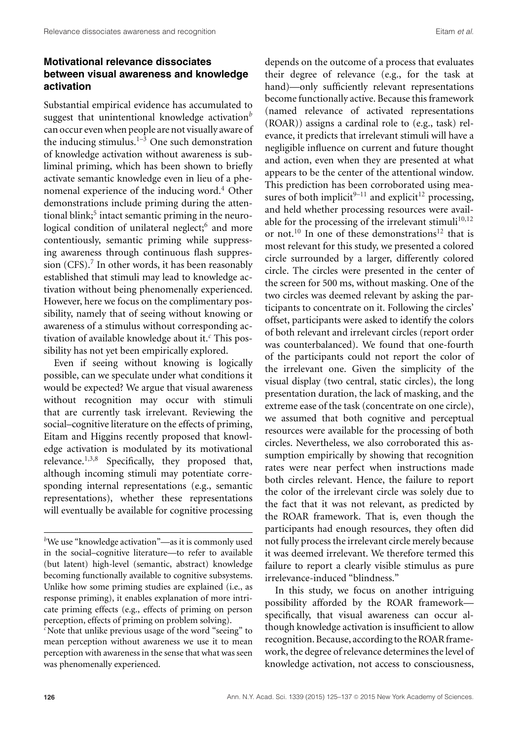# **Motivational relevance dissociates between visual awareness and knowledge activation**

Substantial empirical evidence has accumulated to suggest that unintentional knowledge activation*<sup>b</sup>* can occur even when people are not visually aware of the inducing stimulus. $1-\overline{3}$  One such demonstration of knowledge activation without awareness is subliminal priming, which has been shown to briefly activate semantic knowledge even in lieu of a phenomenal experience of the inducing word.<sup>4</sup> Other demonstrations include priming during the attentional blink;<sup>5</sup> intact semantic priming in the neurological condition of unilateral neglect;<sup>6</sup> and more contentiously, semantic priming while suppressing awareness through continuous flash suppression (CFS).<sup>7</sup> In other words, it has been reasonably established that stimuli may lead to knowledge activation without being phenomenally experienced. However, here we focus on the complimentary possibility, namely that of seeing without knowing or awareness of a stimulus without corresponding activation of available knowledge about it.*<sup>c</sup>* This possibility has not yet been empirically explored.

Even if seeing without knowing is logically possible, can we speculate under what conditions it would be expected? We argue that visual awareness without recognition may occur with stimuli that are currently task irrelevant. Reviewing the social–cognitive literature on the effects of priming, Eitam and Higgins recently proposed that knowledge activation is modulated by its motivational relevance.1,3,8 Specifically, they proposed that, although incoming stimuli may potentiate corresponding internal representations (e.g., semantic representations), whether these representations will eventually be available for cognitive processing depends on the outcome of a process that evaluates their degree of relevance (e.g., for the task at hand)—only sufficiently relevant representations become functionally active. Because this framework (named relevance of activated representations (ROAR)) assigns a cardinal role to (e.g., task) relevance, it predicts that irrelevant stimuli will have a negligible influence on current and future thought and action, even when they are presented at what appears to be the center of the attentional window. This prediction has been corroborated using measures of both implicit $9-11$  and explicit<sup>12</sup> processing, and held whether processing resources were available for the processing of the irrelevant stimuli $10,12$ or not.<sup>10</sup> In one of these demonstrations<sup>12</sup> that is most relevant for this study, we presented a colored circle surrounded by a larger, differently colored circle. The circles were presented in the center of the screen for 500 ms, without masking. One of the two circles was deemed relevant by asking the participants to concentrate on it. Following the circles' offset, participants were asked to identify the colors of both relevant and irrelevant circles (report order was counterbalanced). We found that one-fourth of the participants could not report the color of the irrelevant one. Given the simplicity of the visual display (two central, static circles), the long presentation duration, the lack of masking, and the extreme ease of the task (concentrate on one circle), we assumed that both cognitive and perceptual resources were available for the processing of both circles. Nevertheless, we also corroborated this assumption empirically by showing that recognition rates were near perfect when instructions made both circles relevant. Hence, the failure to report the color of the irrelevant circle was solely due to the fact that it was not relevant, as predicted by the ROAR framework. That is, even though the participants had enough resources, they often did not fully process the irrelevant circle merely because it was deemed irrelevant. We therefore termed this failure to report a clearly visible stimulus as pure irrelevance-induced "blindness."

In this study, we focus on another intriguing possibility afforded by the ROAR framework specifically, that visual awareness can occur although knowledge activation is insufficient to allow recognition. Because, according to the ROAR framework, the degree of relevance determines the level of knowledge activation, not access to consciousness,

*<sup>b</sup>*We use "knowledge activation"—as it is commonly used in the social–cognitive literature—to refer to available (but latent) high-level (semantic, abstract) knowledge becoming functionally available to cognitive subsystems. Unlike how some priming studies are explained (i.e., as response priming), it enables explanation of more intricate priming effects (e.g., effects of priming on person perception, effects of priming on problem solving).

*<sup>c</sup>*Note that unlike previous usage of the word "seeing" to mean perception without awareness we use it to mean perception with awareness in the sense that what was seen was phenomenally experienced.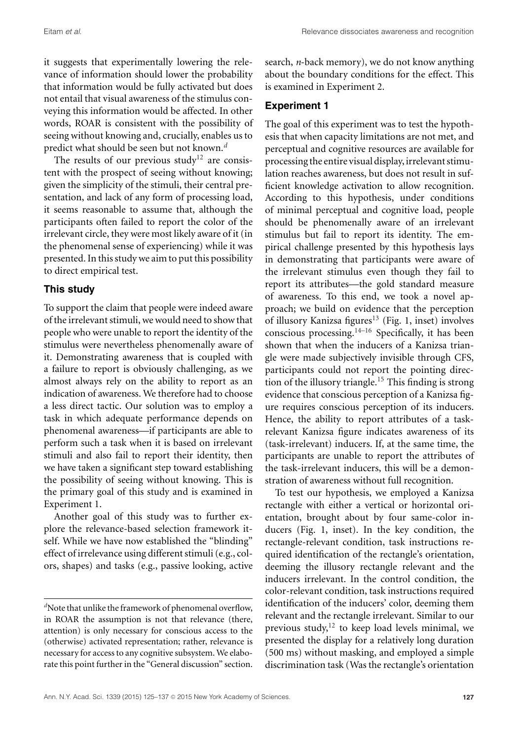it suggests that experimentally lowering the relevance of information should lower the probability that information would be fully activated but does not entail that visual awareness of the stimulus conveying this information would be affected. In other words, ROAR is consistent with the possibility of seeing without knowing and, crucially, enables us to predict what should be seen but not known.*<sup>d</sup>*

The results of our previous study<sup>12</sup> are consistent with the prospect of seeing without knowing; given the simplicity of the stimuli, their central presentation, and lack of any form of processing load, it seems reasonable to assume that, although the participants often failed to report the color of the irrelevant circle, they were most likely aware of it (in the phenomenal sense of experiencing) while it was presented. In this study we aim to put this possibility to direct empirical test.

# **This study**

To support the claim that people were indeed aware of the irrelevant stimuli, we would need to show that people who were unable to report the identity of the stimulus were nevertheless phenomenally aware of it. Demonstrating awareness that is coupled with a failure to report is obviously challenging, as we almost always rely on the ability to report as an indication of awareness. We therefore had to choose a less direct tactic. Our solution was to employ a task in which adequate performance depends on phenomenal awareness—if participants are able to perform such a task when it is based on irrelevant stimuli and also fail to report their identity, then we have taken a significant step toward establishing the possibility of seeing without knowing. This is the primary goal of this study and is examined in Experiment 1.

Another goal of this study was to further explore the relevance-based selection framework itself. While we have now established the "blinding" effect of irrelevance using different stimuli (e.g., colors, shapes) and tasks (e.g., passive looking, active search, *n*-back memory), we do not know anything about the boundary conditions for the effect. This is examined in Experiment 2.

# **Experiment 1**

The goal of this experiment was to test the hypothesis that when capacity limitations are not met, and perceptual and cognitive resources are available for processing the entire visual display, irrelevant stimulation reaches awareness, but does not result in sufficient knowledge activation to allow recognition. According to this hypothesis, under conditions of minimal perceptual and cognitive load, people should be phenomenally aware of an irrelevant stimulus but fail to report its identity. The empirical challenge presented by this hypothesis lays in demonstrating that participants were aware of the irrelevant stimulus even though they fail to report its attributes—the gold standard measure of awareness. To this end, we took a novel approach; we build on evidence that the perception of illusory Kanizsa figures<sup>13</sup> (Fig. 1, inset) involves conscious processing.<sup>14–16</sup> Specifically, it has been shown that when the inducers of a Kanizsa triangle were made subjectively invisible through CFS, participants could not report the pointing direction of the illusory triangle.<sup>15</sup> This finding is strong evidence that conscious perception of a Kanizsa figure requires conscious perception of its inducers. Hence, the ability to report attributes of a taskrelevant Kanizsa figure indicates awareness of its (task-irrelevant) inducers. If, at the same time, the participants are unable to report the attributes of the task-irrelevant inducers, this will be a demonstration of awareness without full recognition.

To test our hypothesis, we employed a Kanizsa rectangle with either a vertical or horizontal orientation, brought about by four same-color inducers (Fig. 1, inset). In the key condition, the rectangle-relevant condition, task instructions required identification of the rectangle's orientation, deeming the illusory rectangle relevant and the inducers irrelevant. In the control condition, the color-relevant condition, task instructions required identification of the inducers' color, deeming them relevant and the rectangle irrelevant. Similar to our previous study, $12$  to keep load levels minimal, we presented the display for a relatively long duration (500 ms) without masking, and employed a simple discrimination task (Was the rectangle's orientation

*<sup>d</sup>*Note that unlike the framework of phenomenal overflow, in ROAR the assumption is not that relevance (there, attention) is only necessary for conscious access to the (otherwise) activated representation; rather, relevance is necessary for access to any cognitive subsystem. We elaborate this point further in the "General discussion" section.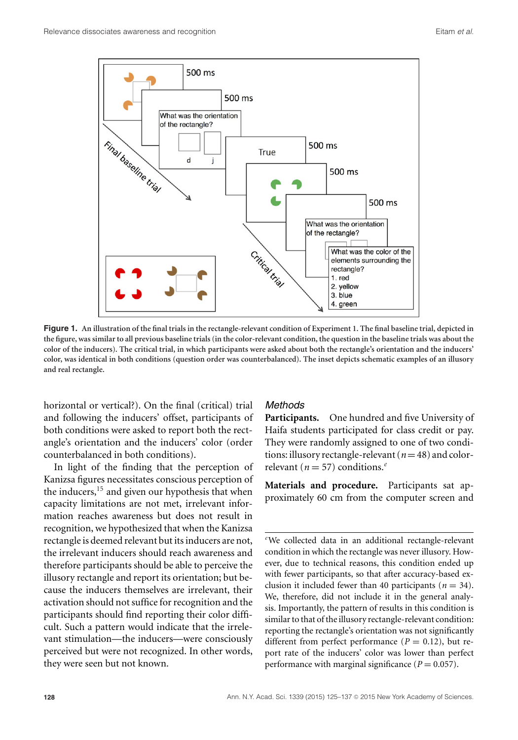

**Figure 1. An illustration of the final trials in the rectangle-relevant condition of Experiment 1. The final baseline trial, depicted in the figure, was similar to all previous baseline trials (in the color-relevant condition, the question in the baseline trials was about the color of the inducers). The critical trial, in which participants were asked about both the rectangle's orientation and the inducers' color, was identical in both conditions (question order was counterbalanced). The inset depicts schematic examples of an illusory and real rectangle.**

horizontal or vertical?). On the final (critical) trial and following the inducers' offset, participants of both conditions were asked to report both the rectangle's orientation and the inducers' color (order counterbalanced in both conditions).

In light of the finding that the perception of Kanizsa figures necessitates conscious perception of the inducers,<sup>15</sup> and given our hypothesis that when capacity limitations are not met, irrelevant information reaches awareness but does not result in recognition, we hypothesized that when the Kanizsa rectangle is deemed relevant but its inducers are not, the irrelevant inducers should reach awareness and therefore participants should be able to perceive the illusory rectangle and report its orientation; but because the inducers themselves are irrelevant, their activation should not suffice for recognition and the participants should find reporting their color difficult. Such a pattern would indicate that the irrelevant stimulation—the inducers—were consciously perceived but were not recognized. In other words, they were seen but not known.

#### *Methods*

**Participants.** One hundred and five University of Haifa students participated for class credit or pay. They were randomly assigned to one of two conditions: illusory rectangle-relevant (*n*=48) and colorrelevant ( $n = 57$ ) conditions.<sup>*e*</sup>

**Materials and procedure.** Participants sat approximately 60 cm from the computer screen and

*<sup>e</sup>*We collected data in an additional rectangle-relevant condition in which the rectangle was never illusory. However, due to technical reasons, this condition ended up with fewer participants, so that after accuracy-based exclusion it included fewer than 40 participants ( $n = 34$ ). We, therefore, did not include it in the general analysis. Importantly, the pattern of results in this condition is similar to that of the illusory rectangle-relevant condition: reporting the rectangle's orientation was not significantly different from perfect performance ( $P = 0.12$ ), but report rate of the inducers' color was lower than perfect performance with marginal significance ( $P = 0.057$ ).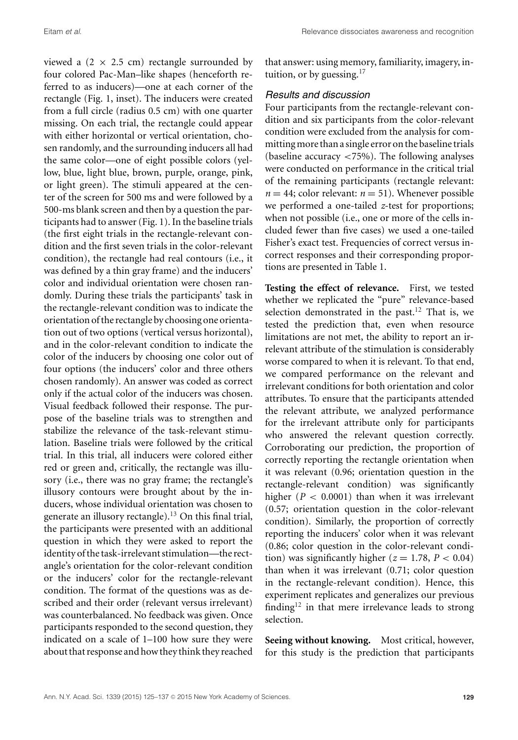viewed a  $(2 \times 2.5 \text{ cm})$  rectangle surrounded by four colored Pac-Man–like shapes (henceforth referred to as inducers)—one at each corner of the rectangle (Fig. 1, inset). The inducers were created from a full circle (radius 0.5 cm) with one quarter missing. On each trial, the rectangle could appear with either horizontal or vertical orientation, chosen randomly, and the surrounding inducers all had the same color—one of eight possible colors (yellow, blue, light blue, brown, purple, orange, pink, or light green). The stimuli appeared at the center of the screen for 500 ms and were followed by a 500-ms blank screen and then by a question the participants had to answer (Fig. 1). In the baseline trials (the first eight trials in the rectangle-relevant condition and the first seven trials in the color-relevant condition), the rectangle had real contours (i.e., it was defined by a thin gray frame) and the inducers' color and individual orientation were chosen randomly. During these trials the participants' task in the rectangle-relevant condition was to indicate the orientation of the rectangle by choosing one orientation out of two options (vertical versus horizontal), and in the color-relevant condition to indicate the color of the inducers by choosing one color out of four options (the inducers' color and three others chosen randomly). An answer was coded as correct only if the actual color of the inducers was chosen. Visual feedback followed their response. The purpose of the baseline trials was to strengthen and stabilize the relevance of the task-relevant stimulation. Baseline trials were followed by the critical trial. In this trial, all inducers were colored either red or green and, critically, the rectangle was illusory (i.e., there was no gray frame; the rectangle's illusory contours were brought about by the inducers, whose individual orientation was chosen to generate an illusory rectangle).<sup>13</sup> On this final trial, the participants were presented with an additional question in which they were asked to report the identity of the task-irrelevant stimulation—the rectangle's orientation for the color-relevant condition or the inducers' color for the rectangle-relevant condition. The format of the questions was as described and their order (relevant versus irrelevant) was counterbalanced. No feedback was given. Once participants responded to the second question, they indicated on a scale of 1–100 how sure they were about that response and how they think they reached

that answer: using memory, familiarity, imagery, intuition, or by guessing. $17$ 

# *Results and discussion*

Four participants from the rectangle-relevant condition and six participants from the color-relevant condition were excluded from the analysis for committingmore than a single error on the baseline trials (baseline accuracy <75%). The following analyses were conducted on performance in the critical trial of the remaining participants (rectangle relevant:  $n = 44$ ; color relevant:  $n = 51$ ). Whenever possible we performed a one-tailed *z*-test for proportions; when not possible (i.e., one or more of the cells included fewer than five cases) we used a one-tailed Fisher's exact test. Frequencies of correct versus incorrect responses and their corresponding proportions are presented in Table 1.

**Testing the effect of relevance.** First, we tested whether we replicated the "pure" relevance-based selection demonstrated in the past.<sup>12</sup> That is, we tested the prediction that, even when resource limitations are not met, the ability to report an irrelevant attribute of the stimulation is considerably worse compared to when it is relevant. To that end, we compared performance on the relevant and irrelevant conditions for both orientation and color attributes. To ensure that the participants attended the relevant attribute, we analyzed performance for the irrelevant attribute only for participants who answered the relevant question correctly. Corroborating our prediction, the proportion of correctly reporting the rectangle orientation when it was relevant (0.96; orientation question in the rectangle-relevant condition) was significantly higher ( $P < 0.0001$ ) than when it was irrelevant (0.57; orientation question in the color-relevant condition). Similarly, the proportion of correctly reporting the inducers' color when it was relevant (0.86; color question in the color-relevant condition) was significantly higher  $(z = 1.78, P < 0.04)$ than when it was irrelevant (0.71; color question in the rectangle-relevant condition). Hence, this experiment replicates and generalizes our previous finding $12$  in that mere irrelevance leads to strong selection.

**Seeing without knowing.** Most critical, however, for this study is the prediction that participants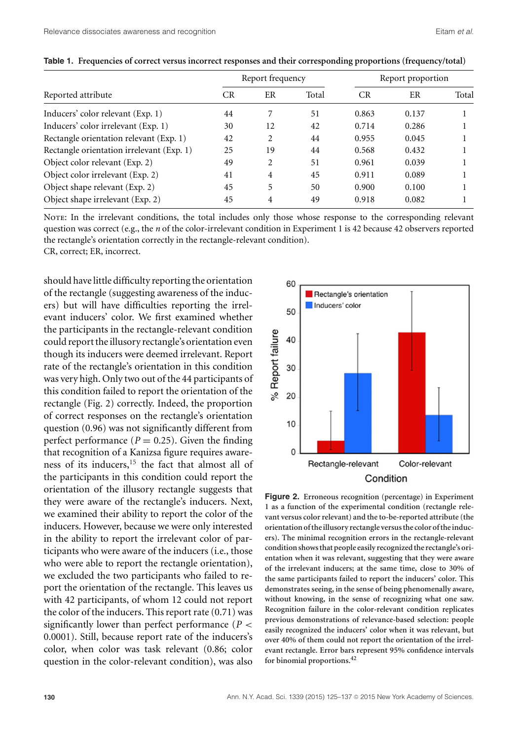|                                           | Report frequency |                |       | Report proportion |       |       |
|-------------------------------------------|------------------|----------------|-------|-------------------|-------|-------|
| Reported attribute                        | CR               | ER             | Total | CR                | ER    | Total |
| Inducers' color relevant (Exp. 1)         | 44               |                | 51    | 0.863             | 0.137 |       |
| Inducers' color irrelevant (Exp. 1)       | 30               | 12             | 42    | 0.714             | 0.286 |       |
| Rectangle orientation relevant (Exp. 1)   | 42               | $\mathfrak{D}$ | 44    | 0.955             | 0.045 |       |
| Rectangle orientation irrelevant (Exp. 1) | 25               | 19             | 44    | 0.568             | 0.432 |       |
| Object color relevant (Exp. 2)            | 49               | $\overline{c}$ | 51    | 0.961             | 0.039 |       |
| Object color irrelevant (Exp. 2)          | 41               | 4              | 45    | 0.911             | 0.089 |       |
| Object shape relevant (Exp. 2)            | 45               | 5              | 50    | 0.900             | 0.100 |       |
| Object shape irrelevant (Exp. 2)          | 45               | 4              | 49    | 0.918             | 0.082 |       |

| Table 1. Frequencies of correct versus incorrect responses and their corresponding proportions (frequency/total) |  |  |  |  |
|------------------------------------------------------------------------------------------------------------------|--|--|--|--|
|                                                                                                                  |  |  |  |  |
|                                                                                                                  |  |  |  |  |
|                                                                                                                  |  |  |  |  |

Note: In the irrelevant conditions, the total includes only those whose response to the corresponding relevant question was correct (e.g., the *n* of the color-irrelevant condition in Experiment 1 is 42 because 42 observers reported the rectangle's orientation correctly in the rectangle-relevant condition).

CR, correct; ER, incorrect.

should have little difficulty reporting the orientation of the rectangle (suggesting awareness of the inducers) but will have difficulties reporting the irrelevant inducers' color. We first examined whether the participants in the rectangle-relevant condition could report the illusory rectangle's orientation even though its inducers were deemed irrelevant. Report rate of the rectangle's orientation in this condition was very high. Only two out of the 44 participants of this condition failed to report the orientation of the rectangle (Fig. 2) correctly. Indeed, the proportion of correct responses on the rectangle's orientation question (0.96) was not significantly different from perfect performance  $(P = 0.25)$ . Given the finding that recognition of a Kanizsa figure requires awareness of its inducers,<sup>15</sup> the fact that almost all of the participants in this condition could report the orientation of the illusory rectangle suggests that they were aware of the rectangle's inducers. Next, we examined their ability to report the color of the inducers. However, because we were only interested in the ability to report the irrelevant color of participants who were aware of the inducers (i.e., those who were able to report the rectangle orientation), we excluded the two participants who failed to report the orientation of the rectangle. This leaves us with 42 participants, of whom 12 could not report the color of the inducers. This report rate (0.71) was significantly lower than perfect performance ( $P <$ 0.0001). Still, because report rate of the inducers's color, when color was task relevant (0.86; color question in the color-relevant condition), was also



**Figure 2. Erroneous recognition (percentage) in Experiment 1 as a function of the experimental condition (rectangle relevant versus color relevant) and the to-be-reported attribute (the orientation of theillusory rectangle versus the color of theinducers). The minimal recognition errors in the rectangle-relevant condition shows that people easily recognized the rectangle's orientation when it was relevant, suggesting that they were aware of the irrelevant inducers; at the same time, close to 30% of the same participants failed to report the inducers' color. This demonstrates seeing, in the sense of being phenomenally aware, without knowing, in the sense of recognizing what one saw. Recognition failure in the color-relevant condition replicates previous demonstrations of relevance-based selection: people easily recognized the inducers' color when it was relevant, but over 40% of them could not report the orientation of the irrelevant rectangle. Error bars represent 95% confidence intervals for binomial proportions.<sup>42</sup>**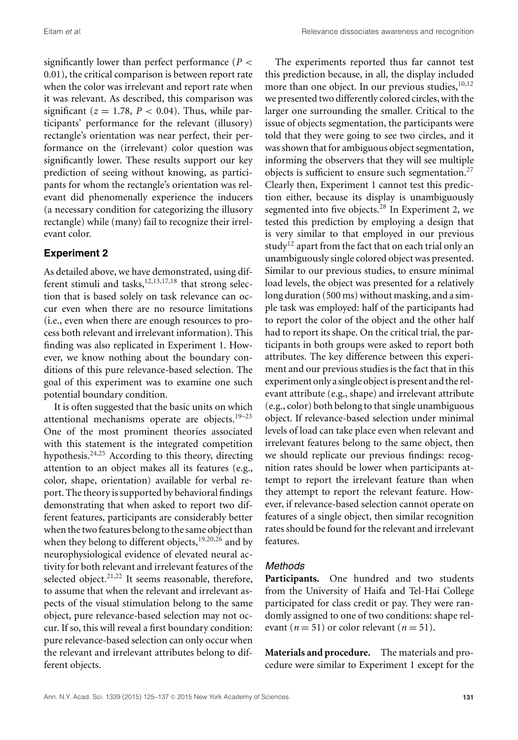significantly lower than perfect performance (*P* < 0.01), the critical comparison is between report rate when the color was irrelevant and report rate when it was relevant. As described, this comparison was significant ( $z = 1.78$ ,  $P < 0.04$ ). Thus, while participants' performance for the relevant (illusory) rectangle's orientation was near perfect, their performance on the (irrelevant) color question was significantly lower. These results support our key prediction of seeing without knowing, as participants for whom the rectangle's orientation was relevant did phenomenally experience the inducers (a necessary condition for categorizing the illusory rectangle) while (many) fail to recognize their irrelevant color.

# **Experiment 2**

As detailed above, we have demonstrated, using different stimuli and tasks, $12,13,17,18$  that strong selection that is based solely on task relevance can occur even when there are no resource limitations (i.e., even when there are enough resources to process both relevant and irrelevant information). This finding was also replicated in Experiment 1. However, we know nothing about the boundary conditions of this pure relevance-based selection. The goal of this experiment was to examine one such potential boundary condition.

It is often suggested that the basic units on which attentional mechanisms operate are objects.<sup>19-23</sup> One of the most prominent theories associated with this statement is the integrated competition hypothesis.24,25 According to this theory, directing attention to an object makes all its features (e.g., color, shape, orientation) available for verbal report. The theory is supported by behavioral findings demonstrating that when asked to report two different features, participants are considerably better when the two features belong to the same object than when they belong to different objects, $19,20,26$  and by neurophysiological evidence of elevated neural activity for both relevant and irrelevant features of the selected object. $2^{1,22}$  It seems reasonable, therefore, to assume that when the relevant and irrelevant aspects of the visual stimulation belong to the same object, pure relevance-based selection may not occur. If so, this will reveal a first boundary condition: pure relevance-based selection can only occur when the relevant and irrelevant attributes belong to different objects.

The experiments reported thus far cannot test this prediction because, in all, the display included more than one object. In our previous studies,  $10,12$ we presented two differently colored circles, with the larger one surrounding the smaller. Critical to the issue of objects segmentation, the participants were told that they were going to see two circles, and it was shown that for ambiguous object segmentation, informing the observers that they will see multiple objects is sufficient to ensure such segmentation.<sup>27</sup> Clearly then, Experiment 1 cannot test this prediction either, because its display is unambiguously segmented into five objects.<sup>28</sup> In Experiment 2, we tested this prediction by employing a design that is very similar to that employed in our previous study<sup>12</sup> apart from the fact that on each trial only an unambiguously single colored object was presented. Similar to our previous studies, to ensure minimal load levels, the object was presented for a relatively long duration (500 ms) without masking, and a simple task was employed: half of the participants had to report the color of the object and the other half had to report its shape. On the critical trial, the participants in both groups were asked to report both attributes. The key difference between this experiment and our previous studies is the fact that in this experiment only a single objectis present and the relevant attribute (e.g., shape) and irrelevant attribute (e.g., color) both belong to that single unambiguous object. If relevance-based selection under minimal levels of load can take place even when relevant and irrelevant features belong to the same object, then we should replicate our previous findings: recognition rates should be lower when participants attempt to report the irrelevant feature than when they attempt to report the relevant feature. However, if relevance-based selection cannot operate on features of a single object, then similar recognition rates should be found for the relevant and irrelevant features.

# *Methods*

**Participants.** One hundred and two students from the University of Haifa and Tel-Hai College participated for class credit or pay. They were randomly assigned to one of two conditions: shape relevant ( $n = 51$ ) or color relevant ( $n = 51$ ).

**Materials and procedure.** The materials and procedure were similar to Experiment 1 except for the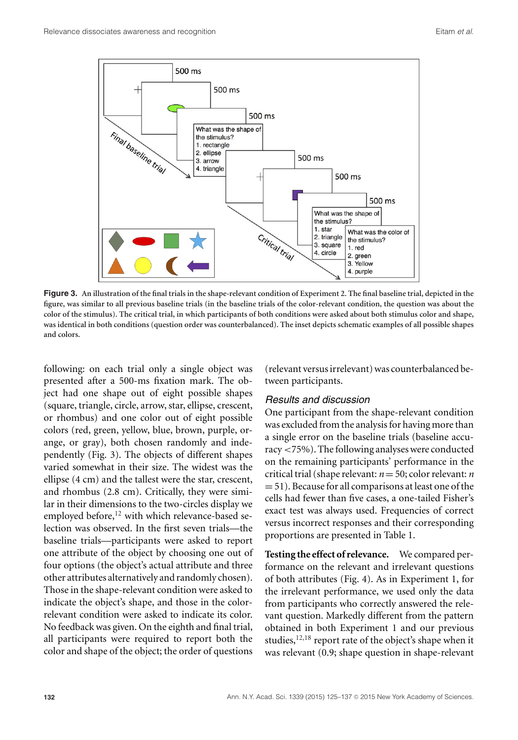

**Figure 3. An illustration of the final trials in the shape-relevant condition of Experiment 2. The final baseline trial, depicted in the figure, was similar to all previous baseline trials (in the baseline trials of the color-relevant condition, the question was about the color of the stimulus). The critical trial, in which participants of both conditions were asked about both stimulus color and shape, was identical in both conditions (question order was counterbalanced). The inset depicts schematic examples of all possible shapes and colors.**

following: on each trial only a single object was presented after a 500-ms fixation mark. The object had one shape out of eight possible shapes (square, triangle, circle, arrow, star, ellipse, crescent, or rhombus) and one color out of eight possible colors (red, green, yellow, blue, brown, purple, orange, or gray), both chosen randomly and independently (Fig. 3). The objects of different shapes varied somewhat in their size. The widest was the ellipse (4 cm) and the tallest were the star, crescent, and rhombus (2.8 cm). Critically, they were similar in their dimensions to the two-circles display we employed before,<sup>12</sup> with which relevance-based selection was observed. In the first seven trials—the baseline trials—participants were asked to report one attribute of the object by choosing one out of four options (the object's actual attribute and three other attributes alternatively and randomly chosen). Those in the shape-relevant condition were asked to indicate the object's shape, and those in the colorrelevant condition were asked to indicate its color. No feedback was given. On the eighth and final trial, all participants were required to report both the color and shape of the object; the order of questions

(relevant versus irrelevant) was counterbalanced between participants.

### *Results and discussion*

One participant from the shape-relevant condition was excluded from the analysis for having more than a single error on the baseline trials (baseline accuracy<75%). The following analyses were conducted on the remaining participants' performance in the critical trial (shape relevant: *n*=50; color relevant: *n*  $=51$ ). Because for all comparisons at least one of the cells had fewer than five cases, a one-tailed Fisher's exact test was always used. Frequencies of correct versus incorrect responses and their corresponding proportions are presented in Table 1.

**Testing the effect of relevance.** We compared performance on the relevant and irrelevant questions of both attributes (Fig. 4). As in Experiment 1, for the irrelevant performance, we used only the data from participants who correctly answered the relevant question. Markedly different from the pattern obtained in both Experiment 1 and our previous studies, $12,18$  report rate of the object's shape when it was relevant (0.9; shape question in shape-relevant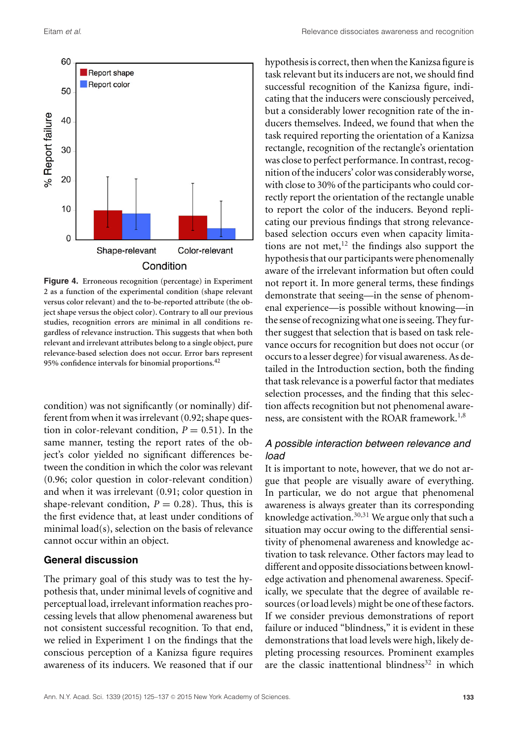

**Figure 4. Erroneous recognition (percentage) in Experiment 2 as a function of the experimental condition (shape relevant versus color relevant) and the to-be-reported attribute (the object shape versus the object color). Contrary to all our previous studies, recognition errors are minimal in all conditions regardless of relevance instruction. This suggests that when both relevant and irrelevant attributes belong to a single object, pure relevance-based selection does not occur. Error bars represent 95% confidence intervals for binomial proportions.42**

condition) was not significantly (or nominally) different from when it was irrelevant (0.92; shape question in color-relevant condition,  $P = 0.51$ ). In the same manner, testing the report rates of the object's color yielded no significant differences between the condition in which the color was relevant (0.96; color question in color-relevant condition) and when it was irrelevant (0.91; color question in shape-relevant condition,  $P = 0.28$ ). Thus, this is the first evidence that, at least under conditions of minimal load(s), selection on the basis of relevance cannot occur within an object.

### **General discussion**

The primary goal of this study was to test the hypothesis that, under minimal levels of cognitive and perceptual load, irrelevant information reaches processing levels that allow phenomenal awareness but not consistent successful recognition. To that end, we relied in Experiment 1 on the findings that the conscious perception of a Kanizsa figure requires awareness of its inducers. We reasoned that if our hypothesis is correct, then when the Kanizsa figure is task relevant but its inducers are not, we should find successful recognition of the Kanizsa figure, indicating that the inducers were consciously perceived, but a considerably lower recognition rate of the inducers themselves. Indeed, we found that when the task required reporting the orientation of a Kanizsa rectangle, recognition of the rectangle's orientation was close to perfect performance. In contrast, recognition of the inducers' color was considerably worse, with close to 30% of the participants who could correctly report the orientation of the rectangle unable to report the color of the inducers. Beyond replicating our previous findings that strong relevancebased selection occurs even when capacity limitations are not met, $12$  the findings also support the hypothesis that our participants were phenomenally aware of the irrelevant information but often could not report it. In more general terms, these findings demonstrate that seeing—in the sense of phenomenal experience—is possible without knowing—in the sense of recognizing what one is seeing. They further suggest that selection that is based on task relevance occurs for recognition but does not occur (or occurs to a lesser degree) for visual awareness. As detailed in the Introduction section, both the finding that task relevance is a powerful factor that mediates selection processes, and the finding that this selection affects recognition but not phenomenal awareness, are consistent with the ROAR framework.<sup>1,8</sup>

# *A possible interaction between relevance and load*

It is important to note, however, that we do not argue that people are visually aware of everything. In particular, we do not argue that phenomenal awareness is always greater than its corresponding knowledge activation.30,31 We argue only that such a situation may occur owing to the differential sensitivity of phenomenal awareness and knowledge activation to task relevance. Other factors may lead to different and opposite dissociations between knowledge activation and phenomenal awareness. Specifically, we speculate that the degree of available resources (or load levels) might be one of these factors. If we consider previous demonstrations of report failure or induced "blindness," it is evident in these demonstrations that load levels were high, likely depleting processing resources. Prominent examples are the classic inattentional blindness<sup>32</sup> in which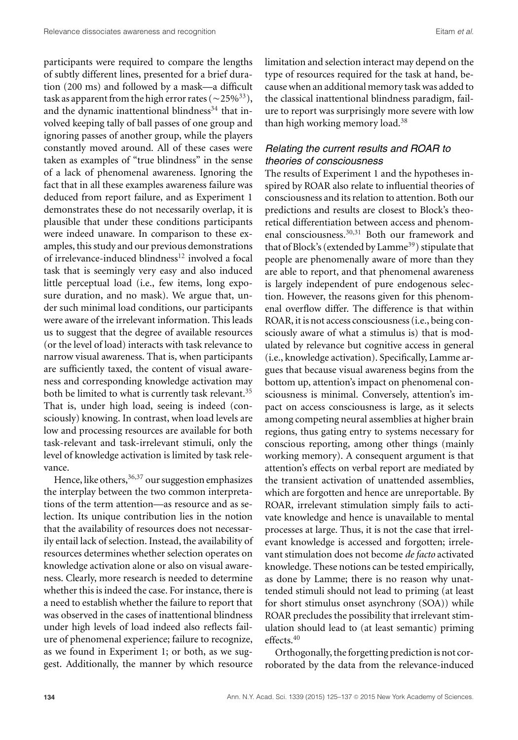participants were required to compare the lengths of subtly different lines, presented for a brief duration (200 ms) and followed by a mask—a difficult task as apparent from the high error rates ( $\sim$ 25% $^{33}$ ), and the dynamic inattentional blindness $34$  that involved keeping tally of ball passes of one group and ignoring passes of another group, while the players constantly moved around. All of these cases were taken as examples of "true blindness" in the sense of a lack of phenomenal awareness. Ignoring the fact that in all these examples awareness failure was deduced from report failure, and as Experiment 1 demonstrates these do not necessarily overlap, it is plausible that under these conditions participants were indeed unaware. In comparison to these examples, this study and our previous demonstrations of irrelevance-induced blindness<sup>12</sup> involved a focal task that is seemingly very easy and also induced little perceptual load (i.e., few items, long exposure duration, and no mask). We argue that, under such minimal load conditions, our participants were aware of the irrelevant information. This leads us to suggest that the degree of available resources (or the level of load) interacts with task relevance to narrow visual awareness. That is, when participants are sufficiently taxed, the content of visual awareness and corresponding knowledge activation may both be limited to what is currently task relevant.<sup>35</sup> That is, under high load, seeing is indeed (consciously) knowing. In contrast, when load levels are low and processing resources are available for both task-relevant and task-irrelevant stimuli, only the level of knowledge activation is limited by task relevance.

Hence, like others, 36,37 our suggestion emphasizes the interplay between the two common interpretations of the term attention—as resource and as selection. Its unique contribution lies in the notion that the availability of resources does not necessarily entail lack of selection. Instead, the availability of resources determines whether selection operates on knowledge activation alone or also on visual awareness. Clearly, more research is needed to determine whether this is indeed the case. For instance, there is a need to establish whether the failure to report that was observed in the cases of inattentional blindness under high levels of load indeed also reflects failure of phenomenal experience; failure to recognize, as we found in Experiment 1; or both, as we suggest. Additionally, the manner by which resource limitation and selection interact may depend on the type of resources required for the task at hand, because when an additional memory task was added to the classical inattentional blindness paradigm, failure to report was surprisingly more severe with low than high working memory load.<sup>38</sup>

### *Relating the current results and ROAR to theories of consciousness*

The results of Experiment 1 and the hypotheses inspired by ROAR also relate to influential theories of consciousness and its relation to attention. Both our predictions and results are closest to Block's theoretical differentiation between access and phenomenal consciousness.<sup>30,31</sup> Both our framework and that of Block's (extended by Lamme<sup>39</sup>) stipulate that people are phenomenally aware of more than they are able to report, and that phenomenal awareness is largely independent of pure endogenous selection. However, the reasons given for this phenomenal overflow differ. The difference is that within ROAR, it is not access consciousness (i.e., being consciously aware of what a stimulus is) that is modulated by relevance but cognitive access in general (i.e., knowledge activation). Specifically, Lamme argues that because visual awareness begins from the bottom up, attention's impact on phenomenal consciousness is minimal. Conversely, attention's impact on access consciousness is large, as it selects among competing neural assemblies at higher brain regions, thus gating entry to systems necessary for conscious reporting, among other things (mainly working memory). A consequent argument is that attention's effects on verbal report are mediated by the transient activation of unattended assemblies, which are forgotten and hence are unreportable. By ROAR, irrelevant stimulation simply fails to activate knowledge and hence is unavailable to mental processes at large. Thus, it is not the case that irrelevant knowledge is accessed and forgotten; irrelevant stimulation does not become *de facto* activated knowledge. These notions can be tested empirically, as done by Lamme; there is no reason why unattended stimuli should not lead to priming (at least for short stimulus onset asynchrony (SOA)) while ROAR precludes the possibility that irrelevant stimulation should lead to (at least semantic) priming effects.<sup>40</sup>

Orthogonally, the forgetting prediction is not corroborated by the data from the relevance-induced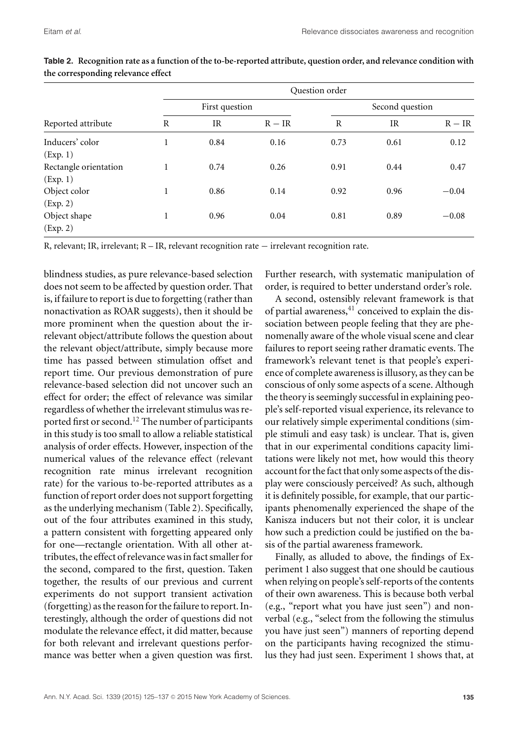|                                   | Question order |                |          |      |                 |          |  |
|-----------------------------------|----------------|----------------|----------|------|-----------------|----------|--|
|                                   |                | First question |          |      | Second question |          |  |
| Reported attribute                | R              | <b>IR</b>      | $R - IR$ | R    | <b>IR</b>       | $R - IR$ |  |
| Inducers' color<br>(Exp. 1)       | 1              | 0.84           | 0.16     | 0.73 | 0.61            | 0.12     |  |
| Rectangle orientation<br>(Exp. 1) | 1              | 0.74           | 0.26     | 0.91 | 0.44            | 0.47     |  |
| Object color<br>(Exp. 2)          | 1              | 0.86           | 0.14     | 0.92 | 0.96            | $-0.04$  |  |
| Object shape<br>(Exp. 2)          | 1              | 0.96           | 0.04     | 0.81 | 0.89            | $-0.08$  |  |

**Table 2. Recognition rate as a function of the to-be-reported attribute, question order, and relevance condition with the corresponding relevance effect**

R, relevant; IR, irrelevant; R – IR, relevant recognition rate − irrelevant recognition rate.

blindness studies, as pure relevance-based selection does not seem to be affected by question order. That is, if failure to report is due to forgetting (rather than nonactivation as ROAR suggests), then it should be more prominent when the question about the irrelevant object/attribute follows the question about the relevant object/attribute, simply because more time has passed between stimulation offset and report time. Our previous demonstration of pure relevance-based selection did not uncover such an effect for order; the effect of relevance was similar regardless of whether the irrelevant stimulus was reported first or second.<sup>12</sup> The number of participants in this study is too small to allow a reliable statistical analysis of order effects. However, inspection of the numerical values of the relevance effect (relevant recognition rate minus irrelevant recognition rate) for the various to-be-reported attributes as a function of report order does not support forgetting as the underlying mechanism (Table 2). Specifically, out of the four attributes examined in this study, a pattern consistent with forgetting appeared only for one—rectangle orientation. With all other attributes, the effect of relevance was in fact smaller for the second, compared to the first, question. Taken together, the results of our previous and current experiments do not support transient activation (forgetting) as the reason for the failure to report. Interestingly, although the order of questions did not modulate the relevance effect, it did matter, because for both relevant and irrelevant questions performance was better when a given question was first. Further research, with systematic manipulation of order, is required to better understand order's role.

A second, ostensibly relevant framework is that of partial awareness, $41$  conceived to explain the dissociation between people feeling that they are phenomenally aware of the whole visual scene and clear failures to report seeing rather dramatic events. The framework's relevant tenet is that people's experience of complete awareness is illusory, as they can be conscious of only some aspects of a scene. Although the theory is seemingly successful in explaining people's self-reported visual experience, its relevance to our relatively simple experimental conditions (simple stimuli and easy task) is unclear. That is, given that in our experimental conditions capacity limitations were likely not met, how would this theory account for the fact that only some aspects of the display were consciously perceived? As such, although it is definitely possible, for example, that our participants phenomenally experienced the shape of the Kanisza inducers but not their color, it is unclear how such a prediction could be justified on the basis of the partial awareness framework.

Finally, as alluded to above, the findings of Experiment 1 also suggest that one should be cautious when relying on people's self-reports of the contents of their own awareness. This is because both verbal (e.g., "report what you have just seen") and nonverbal (e.g., "select from the following the stimulus you have just seen") manners of reporting depend on the participants having recognized the stimulus they had just seen. Experiment 1 shows that, at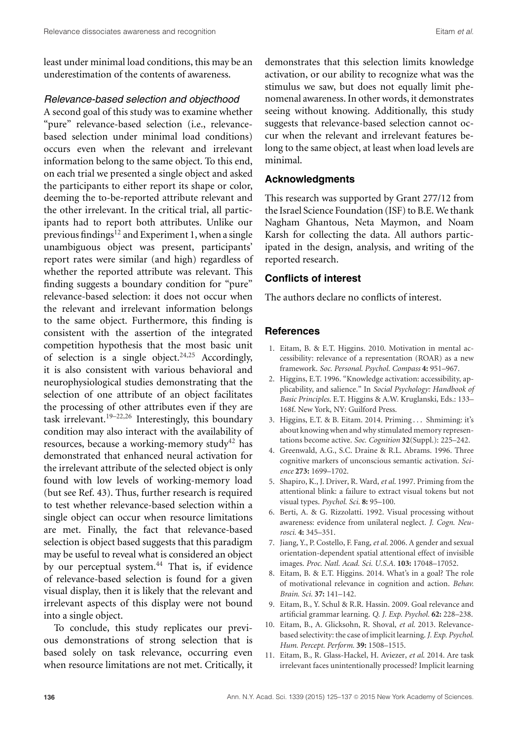least under minimal load conditions, this may be an underestimation of the contents of awareness.

#### *Relevance-based selection and objecthood*

A second goal of this study was to examine whether "pure" relevance-based selection (i.e., relevancebased selection under minimal load conditions) occurs even when the relevant and irrelevant information belong to the same object. To this end, on each trial we presented a single object and asked the participants to either report its shape or color, deeming the to-be-reported attribute relevant and the other irrelevant. In the critical trial, all participants had to report both attributes. Unlike our previous findings<sup>12</sup> and Experiment 1, when a single unambiguous object was present, participants' report rates were similar (and high) regardless of whether the reported attribute was relevant. This finding suggests a boundary condition for "pure" relevance-based selection: it does not occur when the relevant and irrelevant information belongs to the same object. Furthermore, this finding is consistent with the assertion of the integrated competition hypothesis that the most basic unit of selection is a single object.<sup>24,25</sup> Accordingly, it is also consistent with various behavioral and neurophysiological studies demonstrating that the selection of one attribute of an object facilitates the processing of other attributes even if they are task irrelevant.<sup>19–22,26</sup> Interestingly, this boundary condition may also interact with the availability of resources, because a working-memory study<sup>42</sup> has demonstrated that enhanced neural activation for the irrelevant attribute of the selected object is only found with low levels of working-memory load (but see Ref. 43). Thus, further research is required to test whether relevance-based selection within a single object can occur when resource limitations are met. Finally, the fact that relevance-based selection is object based suggests that this paradigm may be useful to reveal what is considered an object by our perceptual system.<sup>44</sup> That is, if evidence of relevance-based selection is found for a given visual display, then it is likely that the relevant and irrelevant aspects of this display were not bound into a single object.

To conclude, this study replicates our previous demonstrations of strong selection that is based solely on task relevance, occurring even when resource limitations are not met. Critically, it demonstrates that this selection limits knowledge activation, or our ability to recognize what was the stimulus we saw, but does not equally limit phenomenal awareness. In other words, it demonstrates seeing without knowing. Additionally, this study suggests that relevance-based selection cannot occur when the relevant and irrelevant features belong to the same object, at least when load levels are minimal.

#### **Acknowledgments**

This research was supported by Grant 277/12 from the Israel Science Foundation (ISF) to B.E. We thank Nagham Ghantous, Neta Maymon, and Noam Karsh for collecting the data. All authors participated in the design, analysis, and writing of the reported research.

### **Conflicts of interest**

The authors declare no conflicts of interest.

### **References**

- 1. Eitam, B. & E.T. Higgins. 2010. Motivation in mental accessibility: relevance of a representation (ROAR) as a new framework. *Soc. Personal. Psychol. Compass* **4:** 951–967.
- 2. Higgins, E.T. 1996. "Knowledge activation: accessibility, applicability, and salience." In *Social Psychology: Handbook of Basic Principles*. E.T. Higgins & A.W. Kruglanski, Eds.: 133– 168f. New York, NY: Guilford Press.
- 3. Higgins, E.T. & B. Eitam. 2014. Priming . . . Shmiming: it's about knowing when and why stimulated memory representations become active. *Soc. Cognition* **32**(Suppl.): 225–242.
- 4. Greenwald, A.G., S.C. Draine & R.L. Abrams. 1996. Three cognitive markers of unconscious semantic activation. *Science* **273:** 1699–1702.
- 5. Shapiro, K., J. Driver, R. Ward, *et al*. 1997. Priming from the attentional blink: a failure to extract visual tokens but not visual types. *Psychol. Sci.* **8:** 95–100.
- 6. Berti, A. & G. Rizzolatti. 1992. Visual processing without awareness: evidence from unilateral neglect. *J. Cogn. Neurosci.* **4:** 345–351.
- 7. Jiang, Y., P. Costello, F. Fang,*et al*. 2006. A gender and sexual orientation-dependent spatial attentional effect of invisible images. *Proc. Natl. Acad. Sci. U.S.A.* **103:** 17048–17052.
- 8. Eitam, B. & E.T. Higgins. 2014. What's in a goal? The role of motivational relevance in cognition and action. *Behav. Brain. Sci.* **37:** 141–142.
- 9. Eitam, B., Y. Schul & R.R. Hassin. 2009. Goal relevance and artificial grammar learning. *Q. J. Exp. Psychol.* **62:** 228–238.
- 10. Eitam, B., A. Glicksohn, R. Shoval, *et al*. 2013. Relevancebased selectivity: the case of implicit learning. *J. Exp. Psychol. Hum. Percept. Perform.* **39:** 1508–1515.
- 11. Eitam, B., R. Glass-Hackel, H. Aviezer, *et al*. 2014. Are task irrelevant faces unintentionally processed? Implicit learning